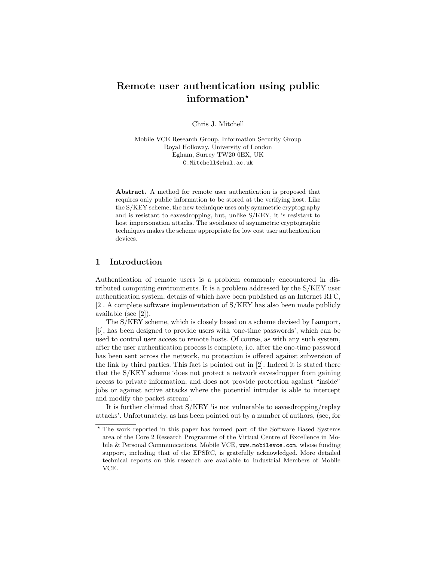# Remote user authentication using public information?

Chris J. Mitchell

Mobile VCE Research Group, Information Security Group Royal Holloway, University of London Egham, Surrey TW20 0EX, UK C.Mitchell@rhul.ac.uk

Abstract. A method for remote user authentication is proposed that requires only public information to be stored at the verifying host. Like the S/KEY scheme, the new technique uses only symmetric cryptography and is resistant to eavesdropping, but, unlike S/KEY, it is resistant to host impersonation attacks. The avoidance of asymmetric cryptographic techniques makes the scheme appropriate for low cost user authentication devices.

# 1 Introduction

Authentication of remote users is a problem commonly encountered in distributed computing environments. It is a problem addressed by the S/KEY user authentication system, details of which have been published as an Internet RFC, [2]. A complete software implementation of S/KEY has also been made publicly available (see [2]).

The S/KEY scheme, which is closely based on a scheme devised by Lamport, [6], has been designed to provide users with 'one-time passwords', which can be used to control user access to remote hosts. Of course, as with any such system, after the user authentication process is complete, i.e. after the one-time password has been sent across the network, no protection is offered against subversion of the link by third parties. This fact is pointed out in [2]. Indeed it is stated there that the S/KEY scheme 'does not protect a network eavesdropper from gaining access to private information, and does not provide protection against "inside" jobs or against active attacks where the potential intruder is able to intercept and modify the packet stream'.

It is further claimed that S/KEY 'is not vulnerable to eavesdropping/replay attacks'. Unfortunately, as has been pointed out by a number of authors, (see, for

<sup>?</sup> The work reported in this paper has formed part of the Software Based Systems area of the Core 2 Research Programme of the Virtual Centre of Excellence in Mobile & Personal Communications, Mobile VCE, www.mobilevce.com, whose funding support, including that of the EPSRC, is gratefully acknowledged. More detailed technical reports on this research are available to Industrial Members of Mobile VCE.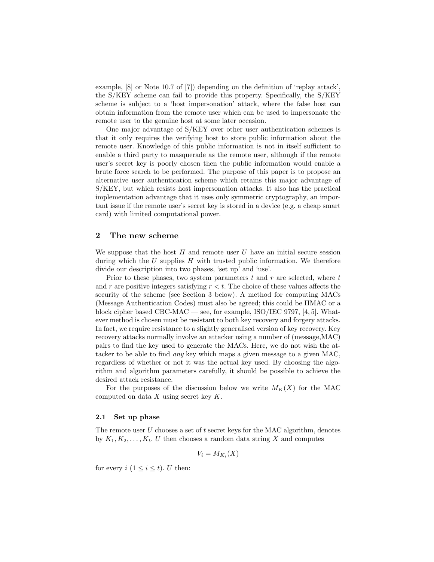example, [8] or Note 10.7 of [7]) depending on the definition of 'replay attack', the S/KEY scheme can fail to provide this property. Specifically, the S/KEY scheme is subject to a 'host impersonation' attack, where the false host can obtain information from the remote user which can be used to impersonate the remote user to the genuine host at some later occasion.

One major advantage of S/KEY over other user authentication schemes is that it only requires the verifying host to store public information about the remote user. Knowledge of this public information is not in itself sufficient to enable a third party to masquerade as the remote user, although if the remote user's secret key is poorly chosen then the public information would enable a brute force search to be performed. The purpose of this paper is to propose an alternative user authentication scheme which retains this major advantage of S/KEY, but which resists host impersonation attacks. It also has the practical implementation advantage that it uses only symmetric cryptography, an important issue if the remote user's secret key is stored in a device (e.g. a cheap smart card) with limited computational power.

# 2 The new scheme

We suppose that the host  $H$  and remote user  $U$  have an initial secure session during which the  $U$  supplies  $H$  with trusted public information. We therefore divide our description into two phases, 'set up' and 'use'.

Prior to these phases, two system parameters  $t$  and  $r$  are selected, where  $t$ and r are positive integers satisfying  $r < t$ . The choice of these values affects the security of the scheme (see Section 3 below). A method for computing MACs (Message Authentication Codes) must also be agreed; this could be HMAC or a block cipher based CBC-MAC — see, for example, ISO/IEC 9797, [4, 5]. Whatever method is chosen must be resistant to both key recovery and forgery attacks. In fact, we require resistance to a slightly generalised version of key recovery. Key recovery attacks normally involve an attacker using a number of (message,MAC) pairs to find the key used to generate the MACs. Here, we do not wish the attacker to be able to find any key which maps a given message to a given MAC, regardless of whether or not it was the actual key used. By choosing the algorithm and algorithm parameters carefully, it should be possible to achieve the desired attack resistance.

For the purposes of the discussion below we write  $M_K(X)$  for the MAC computed on data  $X$  using secret key  $K$ .

# 2.1 Set up phase

The remote user U chooses a set of t secret keys for the MAC algorithm, denotes by  $K_1, K_2, \ldots, K_t$ . U then chooses a random data string X and computes

$$
V_i = M_{K_i}(X)
$$

for every  $i$   $(1 \leq i \leq t)$ . U then: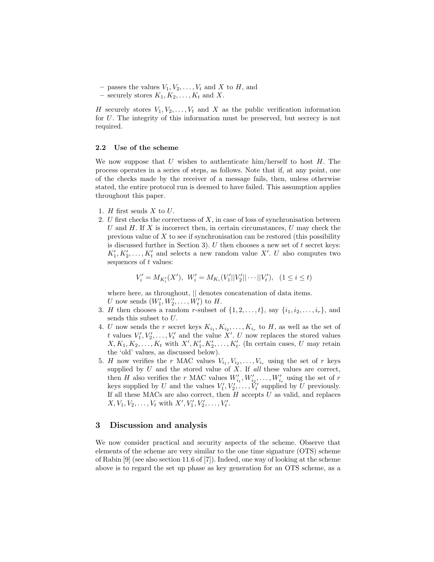- passes the values  $V_1, V_2, \ldots, V_t$  and X to H, and
- securely stores  $K_1, K_2, \ldots, K_t$  and X.

H securely stores  $V_1, V_2, \ldots, V_t$  and X as the public verification information for U. The integrity of this information must be preserved, but secrecy is not required.

## 2.2 Use of the scheme

We now suppose that U wishes to authenticate him/herself to host  $H$ . The process operates in a series of steps, as follows. Note that if, at any point, one of the checks made by the receiver of a message fails, then, unless otherwise stated, the entire protocol run is deemed to have failed. This assumption applies throughout this paper.

- 1.  $H$  first sends  $X$  to  $U$ .
- 2.  $U$  first checks the correctness of  $X$ , in case of loss of synchronisation between U and H. If X is incorrect then, in certain circumstances, U may check the previous value of  $X$  to see if synchronisation can be restored (this possibility is discussed further in Section 3).  $U$  then chooses a new set of  $t$  secret keys:  $K'_1, K'_2, \ldots, K'_t$  and selects a new random value X'. U also computes two sequences of t values:

$$
V'_{i} = M_{K'_{i}}(X'), \ W'_{i} = M_{K_{i}}(V'_{1}||V'_{2}|| \cdots ||V'_{t}), \ (1 \leq i \leq t)
$$

where here, as throughout, || denotes concatenation of data items. U now sends  $(W'_1, W'_2, \ldots, W'_t)$  to H.

- 3. H then chooses a random r-subset of  $\{1, 2, \ldots, t\}$ , say  $\{i_1, i_2, \ldots, i_r\}$ , and sends this subset to U.
- 4. U now sends the r secret keys  $K_{i_1}, K_{i_2}, \ldots, K_{i_r}$  to H, as well as the set of t values  $V'_1, V'_2, \ldots, V'_t$  and the value X'. U now replaces the stored values  $X, K_1, K_2, \ldots, K_t$  with  $X', K'_1, K'_2, \ldots, K'_t$ . (In certain cases, U may retain the 'old' values, as discussed below).
- 5. H now verifies the r MAC values  $V_{i_1}, V_{i_2}, \ldots, V_{i_r}$  using the set of r keys supplied by  $U$  and the stored value of  $X$ . If all these values are correct, then H also verifies the r MAC values  $W'_{i_1}, W'_{i_2}, \ldots, W'_{i_r}$  using the set of r keys supplied by U and the values  $V'_1, V'_2, \ldots, \tilde{V}'_t$  supplied by U previously. If all these MACs are also correct, then  $H$  accepts  $U$  as valid, and replaces  $X, V_1, V_2, \ldots, V_t$  with  $X', V'_1, V'_2, \ldots, V'_t$ .

# 3 Discussion and analysis

We now consider practical and security aspects of the scheme. Observe that elements of the scheme are very similar to the one time signature (OTS) scheme of Rabin [9] (see also section 11.6 of [7]). Indeed, one way of looking at the scheme above is to regard the set up phase as key generation for an OTS scheme, as a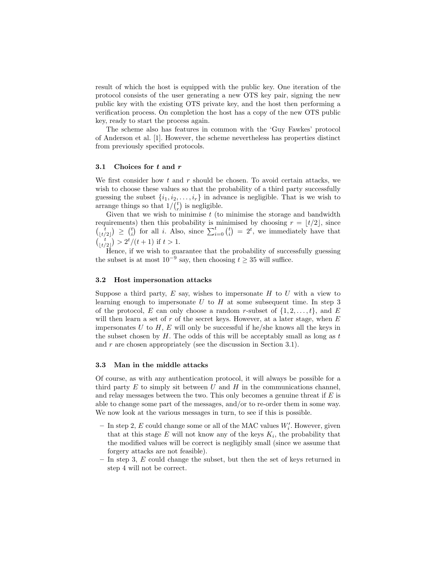result of which the host is equipped with the public key. One iteration of the protocol consists of the user generating a new OTS key pair, signing the new public key with the existing OTS private key, and the host then performing a verification process. On completion the host has a copy of the new OTS public key, ready to start the process again.

The scheme also has features in common with the 'Guy Fawkes' protocol of Anderson et al. [1]. However, the scheme nevertheless has properties distinct from previously specified protocols.

# 3.1 Choices for  $t$  and  $r$

We first consider how  $t$  and  $r$  should be chosen. To avoid certain attacks, we wish to choose these values so that the probability of a third party successfully guessing the subset  $\{i_1, i_2, \ldots, i_r\}$  in advance is negligible. That is we wish to arrange things so that  $1/{t \choose r}$  is negligible.

Given that we wish to minimise  $t$  (to minimise the storage and bandwidth requirements) then this probability is minimised by choosing  $r = \lfloor t/2 \rfloor$ , since equirements) then this probability is minimised by choosing  $r = \lfloor t/2 \rfloor$ , since  $\binom{t}{t} \geq \binom{t}{t}$  for all *i*. Also, since  $\sum_{i=0}^{t} \binom{t}{i} = 2^{t}$ , we immediately have that  $\binom{t/2}{t}$  $\frac{1}{1}$  $> 2^t/(t+1)$  if  $t > 1$ .

Hence, if we wish to guarantee that the probability of successfully guessing the subset is at most  $10^{-9}$  say, then choosing  $t \geq 35$  will suffice.

### 3.2 Host impersonation attacks

Suppose a third party,  $E$  say, wishes to impersonate  $H$  to  $U$  with a view to learning enough to impersonate  $U$  to  $H$  at some subsequent time. In step 3 of the protocol, E can only choose a random r-subset of  $\{1, 2, \ldots, t\}$ , and E will then learn a set of  $r$  of the secret keys. However, at a later stage, when  $E$ impersonates U to  $H$ , E will only be successful if he/she knows all the keys in the subset chosen by  $H$ . The odds of this will be acceptably small as long as  $t$ and r are chosen appropriately (see the discussion in Section 3.1).

#### 3.3 Man in the middle attacks

Of course, as with any authentication protocol, it will always be possible for a third party  $E$  to simply sit between  $U$  and  $H$  in the communications channel, and relay messages between the two. This only becomes a genuine threat if  $E$  is able to change some part of the messages, and/or to re-order them in some way. We now look at the various messages in turn, to see if this is possible.

- In step 2, E could change some or all of the MAC values  $W_i'$ . However, given that at this stage  $E$  will not know any of the keys  $K_i$ , the probability that the modified values will be correct is negligibly small (since we assume that forgery attacks are not feasible).
- $-$  In step 3,  $E$  could change the subset, but then the set of keys returned in step 4 will not be correct.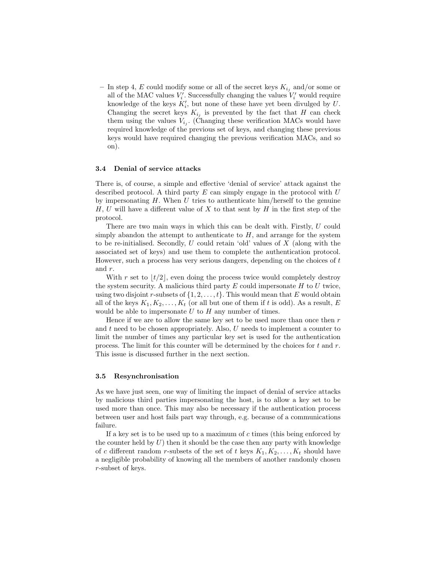- In step 4, E could modify some or all of the secret keys  $K_{i_j}$  and/or some or all of the MAC values  $V_i'$ . Successfully changing the values  $V_i'$  would require knowledge of the keys  $K'_{i}$ , but none of these have yet been divulged by U. Changing the secret keys  $K_{i_j}$  is prevented by the fact that H can check them using the values  $V_{i_j}$ . (Changing these verification MACs would have required knowledge of the previous set of keys, and changing these previous keys would have required changing the previous verification MACs, and so on).

### 3.4 Denial of service attacks

There is, of course, a simple and effective 'denial of service' attack against the described protocol. A third party  $E$  can simply engage in the protocol with  $U$ by impersonating  $H$ . When U tries to authenticate him/herself to the genuine H, U will have a different value of X to that sent by H in the first step of the protocol.

There are two main ways in which this can be dealt with. Firstly, U could simply abandon the attempt to authenticate to  $H$ , and arrange for the system to be re-initialised. Secondly,  $U$  could retain 'old' values of  $X$  (along with the associated set of keys) and use them to complete the authentication protocol. However, such a process has very serious dangers, depending on the choices of  $t$ and r.

With r set to  $|t/2|$ , even doing the process twice would completely destroy the system security. A malicious third party  $E$  could impersonate  $H$  to  $U$  twice, using two disjoint r-subsets of  $\{1, 2, \ldots, t\}$ . This would mean that E would obtain all of the keys  $K_1, K_2, \ldots, K_t$  (or all but one of them if t is odd). As a result, E would be able to impersonate  $U$  to  $H$  any number of times.

Hence if we are to allow the same key set to be used more than once then  $r$ and  $t$  need to be chosen appropriately. Also,  $U$  needs to implement a counter to limit the number of times any particular key set is used for the authentication process. The limit for this counter will be determined by the choices for  $t$  and  $r$ . This issue is discussed further in the next section.

#### 3.5 Resynchronisation

As we have just seen, one way of limiting the impact of denial of service attacks by malicious third parties impersonating the host, is to allow a key set to be used more than once. This may also be necessary if the authentication process between user and host fails part way through, e.g. because of a communications failure.

If a key set is to be used up to a maximum of c times (this being enforced by the counter held by  $U$ ) then it should be the case then any party with knowledge of c different random r-subsets of the set of t keys  $K_1, K_2, \ldots, K_t$  should have a negligible probability of knowing all the members of another randomly chosen r-subset of keys.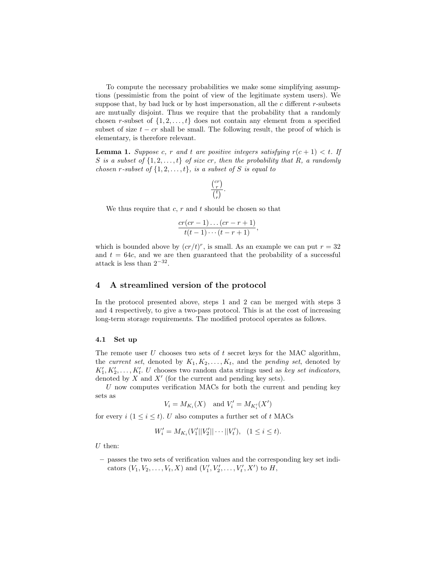To compute the necessary probabilities we make some simplifying assumptions (pessimistic from the point of view of the legitimate system users). We suppose that, by bad luck or by host impersonation, all the  $c$  different  $r$ -subsets are mutually disjoint. Thus we require that the probability that a randomly chosen r-subset of  $\{1, 2, \ldots, t\}$  does not contain any element from a specified subset of size  $t - cr$  shall be small. The following result, the proof of which is elementary, is therefore relevant.

**Lemma 1.** Suppose c, r and t are positive integers satisfying  $r(c + 1) < t$ . If S is a subset of  $\{1, 2, \ldots, t\}$  of size cr, then the probability that R, a randomly chosen r-subset of  $\{1, 2, \ldots, t\}$ , is a subset of S is equal to

$$
\frac{\binom{cr}{r}}{\binom{t}{r}}.
$$

We thus require that  $c, r$  and  $t$  should be chosen so that

$$
\frac{cr (cr-1)\dots (cr-r+1)}{t(t-1)\cdots (t-r+1)},
$$

which is bounded above by  $(cr/t)^r$ , is small. As an example we can put  $r = 32$ and  $t = 64c$ , and we are then guaranteed that the probability of a successful attack is less than  $2^{-32}$ .

# 4 A streamlined version of the protocol

In the protocol presented above, steps 1 and 2 can be merged with steps 3 and 4 respectively, to give a two-pass protocol. This is at the cost of increasing long-term storage requirements. The modified protocol operates as follows.

### 4.1 Set up

The remote user  $U$  chooses two sets of  $t$  secret keys for the MAC algorithm, the current set, denoted by  $K_1, K_2, \ldots, K_t$ , and the pending set, denoted by  $K'_1, K'_2, \ldots, K'_t$ . U chooses two random data strings used as key set indicators, denoted by  $X$  and  $X'$  (for the current and pending key sets).

U now computes verification MACs for both the current and pending key sets as

$$
V_i = M_{K_i}(X) \quad \text{and } V_i' = M_{K_i'}(X')
$$

for every i  $(1 \leq i \leq t)$ . U also computes a further set of t MACs

$$
W_i' = M_{K_i}(V_1'||V_2'|| \cdots ||V_t'), \quad (1 \le i \le t).
$$

U then:

– passes the two sets of verification values and the corresponding key set indicators  $(V_1, V_2, \ldots, V_t, X)$  and  $(V'_1, V'_2, \ldots, V'_t, X')$  to  $H$ ,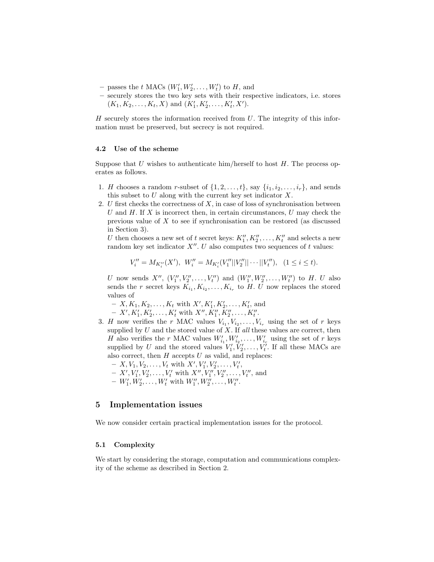- passes the t MACs  $(W'_1, W'_2, \ldots, W'_t)$  to H, and
- securely stores the two key sets with their respective indicators, i.e. stores  $(K_1, K_2, \ldots, K_t, X)$  and  $(K'_1, K'_2, \ldots, K'_t, X')$ .

 $H$  securely stores the information received from  $U$ . The integrity of this information must be preserved, but secrecy is not required.

# 4.2 Use of the scheme

Suppose that  $U$  wishes to authenticate him/herself to host  $H$ . The process operates as follows.

- 1. H chooses a random r-subset of  $\{1, 2, \ldots, t\}$ , say  $\{i_1, i_2, \ldots, i_r\}$ , and sends this subset to  $U$  along with the current key set indicator  $X$ .
- 2.  $U$  first checks the correctness of  $X$ , in case of loss of synchronisation between U and H. If X is incorrect then, in certain circumstances, U may check the previous value of  $X$  to see if synchronisation can be restored (as discussed in Section 3).

U then chooses a new set of t secret keys:  $K''_1, K''_2, \ldots, K''_t$  and selects a new random key set indicator  $X''$ . U also computes two sequences of t values:

$$
V_i'' = M_{K_i''}(X'), \quad W_i'' = M_{K_i'}(V_1''||V_2''||\cdots||V_i''), \quad (1 \le i \le t).
$$

U now sends  $X''$ ,  $(V''_1, V''_2, \ldots, V''_t)$  and  $(W''_1, W''_2, \ldots, W''_t)$  to H. U also sends the r secret keys  $K_{i_1}, K_{i_2}, \ldots, K_{i_r}$  to H. U now replaces the stored values of

 $- X, K_1, K_2, \ldots, K_t$  with  $X', K'_1, K'_2, \ldots, K'_t$ , and

 $- X', K'_1, K'_2, \ldots, K'_t$  with  $X'', K''_1, K''_2, \ldots, K''_t$ .

- 3. H now verifies the r MAC values  $V_{i_1}, V_{i_2}, \ldots, V_{i_r}$  using the set of r keys supplied by  $U$  and the stored value of  $X$ . If all these values are correct, then H also verifies the r MAC values  $W'_{i_1}, W'_{i_2}, \ldots, W'_{i_r}$  using the set of r keys supplied by U and the stored values  $V'_1, V'_2, \ldots, V'_t$ . If all these MACs are also correct, then  $H$  accepts  $U$  as valid, and replaces:
	- $X, V_1, V_2, \ldots, V_t$  with  $X', V'_1, V'_2, \ldots, V'_t$ ,
	- $X', V'_1, V'_2, \ldots, V'_t$  with  $X'', V''_1, V''_2, \ldots, V''_t$ , and
	- $W_1', W_2', \ldots, W_t'$  with  $W_1'', W_2'', \ldots, W_t''$ .

# 5 Implementation issues

We now consider certain practical implementation issues for the protocol.

# 5.1 Complexity

We start by considering the storage, computation and communications complexity of the scheme as described in Section 2.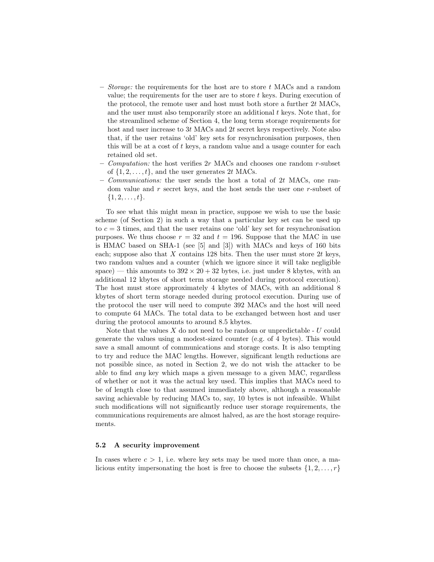- *Storage:* the requirements for the host are to store t MACs and a random value; the requirements for the user are to store  $t$  keys. During execution of the protocol, the remote user and host must both store a further 2t MACs, and the user must also temporarily store an additional  $t$  keys. Note that, for the streamlined scheme of Section 4, the long term storage requirements for host and user increase to 3t MACs and 2t secret keys respectively. Note also that, if the user retains 'old' key sets for resynchronisation purposes, then this will be at a cost of  $t$  keys, a random value and a usage counter for each retained old set.
- Computation: the host verifies  $2r$  MACs and chooses one random r-subset of  $\{1, 2, \ldots, t\}$ , and the user generates 2t MACs.
- *Communications:* the user sends the host a total of 2t MACs, one random value and  $r$  secret keys, and the host sends the user one  $r$ -subset of  $\{1, 2, \ldots, t\}.$

To see what this might mean in practice, suppose we wish to use the basic scheme (of Section 2) in such a way that a particular key set can be used up to  $c = 3$  times, and that the user retains one 'old' key set for resynchronisation purposes. We thus choose  $r = 32$  and  $t = 196$ . Suppose that the MAC in use is HMAC based on SHA-1 (see [5] and [3]) with MACs and keys of 160 bits each; suppose also that  $X$  contains 128 bits. Then the user must store 2t keys, two random values and a counter (which we ignore since it will take negligible space) — this amounts to  $392 \times 20 + 32$  bytes, i.e. just under 8 kbytes, with an additional 12 kbytes of short term storage needed during protocol execution). The host must store approximately 4 kbytes of MACs, with an additional 8 kbytes of short term storage needed during protocol execution. During use of the protocol the user will need to compute 392 MACs and the host will need to compute 64 MACs. The total data to be exchanged between host and user during the protocol amounts to around 8.5 kbytes.

Note that the values  $X$  do not need to be random or unpredictable  $- U$  could generate the values using a modest-sized counter (e.g. of 4 bytes). This would save a small amount of communications and storage costs. It is also tempting to try and reduce the MAC lengths. However, significant length reductions are not possible since, as noted in Section 2, we do not wish the attacker to be able to find any key which maps a given message to a given MAC, regardless of whether or not it was the actual key used. This implies that MACs need to be of length close to that assumed immediately above, although a reasonable saving achievable by reducing MACs to, say, 10 bytes is not infeasible. Whilst such modifications will not significantly reduce user storage requirements, the communications requirements are almost halved, as are the host storage requirements.

# 5.2 A security improvement

In cases where  $c > 1$ , i.e. where key sets may be used more than once, a malicious entity impersonating the host is free to choose the subsets  $\{1, 2, \ldots, r\}$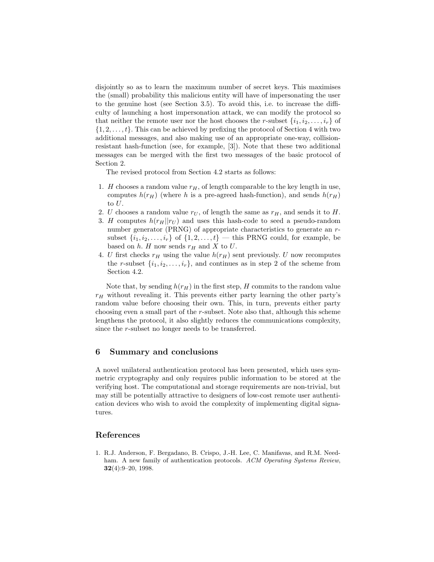disjointly so as to learn the maximum number of secret keys. This maximises the (small) probability this malicious entity will have of impersonating the user to the genuine host (see Section 3.5). To avoid this, i.e. to increase the difficulty of launching a host impersonation attack, we can modify the protocol so that neither the remote user nor the host chooses the r-subset  $\{i_1, i_2, \ldots, i_r\}$  of  $\{1, 2, \ldots, t\}$ . This can be achieved by prefixing the protocol of Section 4 with two additional messages, and also making use of an appropriate one-way, collisionresistant hash-function (see, for example, [3]). Note that these two additional messages can be merged with the first two messages of the basic protocol of Section 2.

The revised protocol from Section 4.2 starts as follows:

- 1. H chooses a random value  $r_H$ , of length comparable to the key length in use, computes  $h(r_H)$  (where h is a pre-agreed hash-function), and sends  $h(r_H)$ to  $U$ .
- 2. U chooses a random value  $r_U$ , of length the same as  $r_H$ , and sends it to H.
- 3. H computes  $h(r_H||r_U)$  and uses this hash-code to seed a pseudo-random number generator (PRNG) of appropriate characteristics to generate an rsubset  $\{i_1, i_2, \ldots, i_r\}$  of  $\{1, 2, \ldots, t\}$  — this PRNG could, for example, be based on  $h$ . H now sends  $r_H$  and X to U.
- 4. U first checks  $r_H$  using the value  $h(r_H)$  sent previously. U now recomputes the r-subset  $\{i_1, i_2, \ldots, i_r\}$ , and continues as in step 2 of the scheme from Section 4.2.

Note that, by sending  $h(r_H)$  in the first step, H commits to the random value  $r_H$  without revealing it. This prevents either party learning the other party's random value before choosing their own. This, in turn, prevents either party choosing even a small part of the r-subset. Note also that, although this scheme lengthens the protocol, it also slightly reduces the communications complexity, since the r-subset no longer needs to be transferred.

# 6 Summary and conclusions

A novel unilateral authentication protocol has been presented, which uses symmetric cryptography and only requires public information to be stored at the verifying host. The computational and storage requirements are non-trivial, but may still be potentially attractive to designers of low-cost remote user authentication devices who wish to avoid the complexity of implementing digital signatures.

# References

1. R.J. Anderson, F. Bergadano, B. Crispo, J.-H. Lee, C. Manifavas, and R.M. Needham. A new family of authentication protocols. ACM Operating Systems Review,  $32(4):9-20, 1998.$